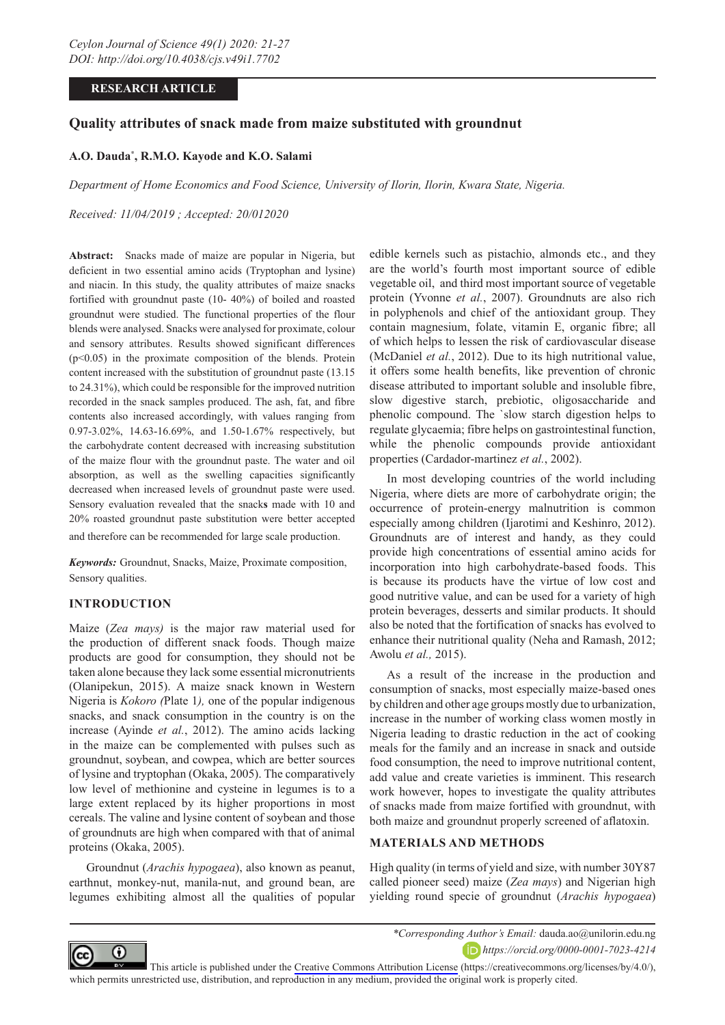# **RESEARCH ARTICLE**

# **Quality attributes of snack made from maize substituted with groundnut**

## **A.O. Dauda\* , R.M.O. Kayode and K.O. Salami**

*Department of Home Economics and Food Science, University of Ilorin, Ilorin, Kwara State, Nigeria.*

*Received: 11/04/2019 ; Accepted: 20/012020*

**Abstract:** Snacks made of maize are popular in Nigeria, but deficient in two essential amino acids (Tryptophan and lysine) and niacin. In this study, the quality attributes of maize snacks fortified with groundnut paste (10- 40%) of boiled and roasted groundnut were studied. The functional properties of the flour blends were analysed. Snacks were analysed for proximate, colour and sensory attributes. Results showed significant differences  $(p<0.05)$  in the proximate composition of the blends. Protein content increased with the substitution of groundnut paste (13.15 to 24.31%), which could be responsible for the improved nutrition recorded in the snack samples produced. The ash, fat, and fibre contents also increased accordingly, with values ranging from 0.97-3.02%, 14.63-16.69%, and 1.50-1.67% respectively, but the carbohydrate content decreased with increasing substitution of the maize flour with the groundnut paste. The water and oil absorption, as well as the swelling capacities significantly decreased when increased levels of groundnut paste were used. Sensory evaluation revealed that the snack**s** made with 10 and 20% roasted groundnut paste substitution were better accepted

and therefore can be recommended for large scale production.

*Keywords:* Groundnut, Snacks, Maize, Proximate composition, Sensory qualities.

## **INTRODUCTION**

Maize (*Zea mays)* is the major raw material used for the production of different snack foods. Though maize products are good for consumption, they should not be taken alone because they lack some essential micronutrients (Olanipekun, 2015). A maize snack known in Western Nigeria is *Kokoro (*Plate 1*),* one of the popular indigenous snacks, and snack consumption in the country is on the increase (Ayinde *et al.*, 2012). The amino acids lacking in the maize can be complemented with pulses such as groundnut, soybean, and cowpea, which are better sources of lysine and tryptophan (Okaka, 2005). The comparatively low level of methionine and cysteine in legumes is to a large extent replaced by its higher proportions in most cereals. The valine and lysine content of soybean and those of groundnuts are high when compared with that of animal proteins (Okaka, 2005).

Groundnut (*Arachis hypogaea*), also known as peanut, earthnut, monkey-nut, manila-nut, and ground bean, are legumes exhibiting almost all the qualities of popular edible kernels such as pistachio, almonds etc., and they are the world's fourth most important source of edible vegetable oil, and third most important source of vegetable protein (Yvonne *et al.*, 2007). Groundnuts are also rich in polyphenols and chief of the antioxidant group. They contain magnesium, folate, vitamin E, organic fibre; all of which helps to lessen the risk of cardiovascular disease (McDaniel *et al.*, 2012). Due to its high nutritional value, it offers some health benefits, like prevention of chronic disease attributed to important soluble and insoluble fibre, slow digestive starch, prebiotic, oligosaccharide and phenolic compound. The `slow starch digestion helps to regulate glycaemia; fibre helps on gastrointestinal function, while the phenolic compounds provide antioxidant properties (Cardador-martinez *et al.*, 2002).

In most developing countries of the world including Nigeria, where diets are more of carbohydrate origin; the occurrence of protein-energy malnutrition is common especially among children (Ijarotimi and Keshinro, 2012). Groundnuts are of interest and handy, as they could provide high concentrations of essential amino acids for incorporation into high carbohydrate-based foods. This is because its products have the virtue of low cost and good nutritive value, and can be used for a variety of high protein beverages, desserts and similar products. It should also be noted that the fortification of snacks has evolved to enhance their nutritional quality (Neha and Ramash, 2012; Awolu *et al.,* 2015).

As a result of the increase in the production and consumption of snacks, most especially maize-based ones by children and other age groups mostly due to urbanization, increase in the number of working class women mostly in Nigeria leading to drastic reduction in the act of cooking meals for the family and an increase in snack and outside food consumption, the need to improve nutritional content, add value and create varieties is imminent. This research work however, hopes to investigate the quality attributes of snacks made from maize fortified with groundnut, with both maize and groundnut properly screened of aflatoxin.

### **MATERIALS AND METHODS**

High quality (in terms of yield and size, with number 30Y87 called pioneer seed) maize (*Zea mays*) and Nigerian high yielding round specie of groundnut (*Arachis hypogaea*)



This article is published under the [Creative Commons Attribution License](https://creativecommons.org/licenses/by/4.0/) (https://creativecommons.org/licenses/by/4.0/), which permits unrestricted use, distribution, and reproduction in any medium, provided the original work is properly cited.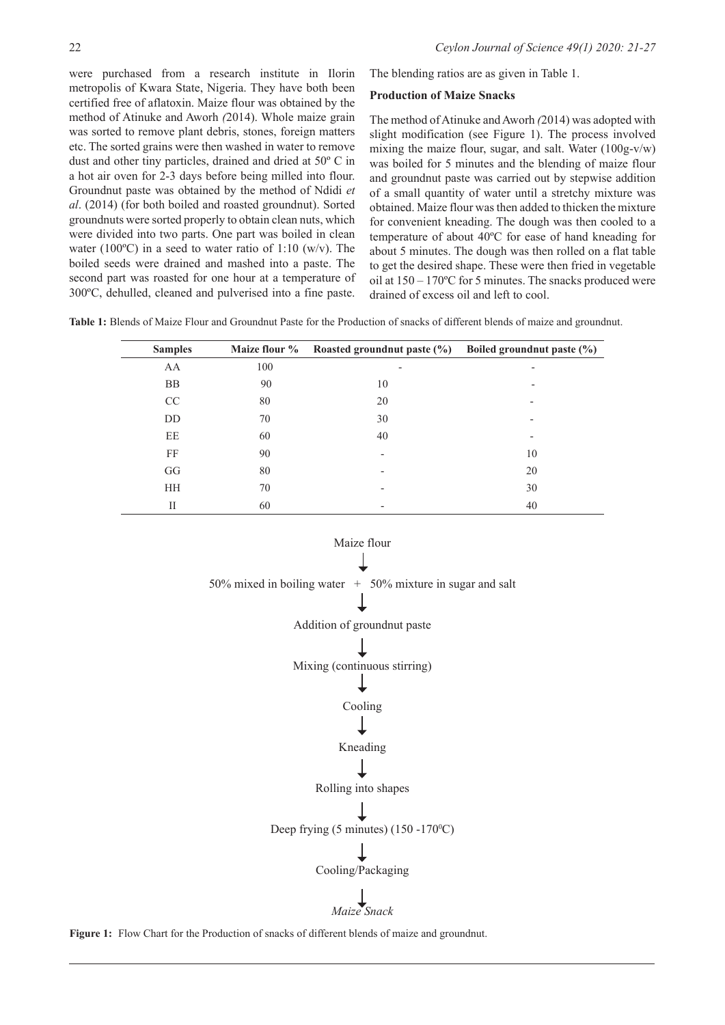were purchased from a research institute in Ilorin metropolis of Kwara State, Nigeria. They have both been certified free of aflatoxin. Maize flour was obtained by the method of Atinuke and Aworh *(*2014). Whole maize grain was sorted to remove plant debris, stones, foreign matters etc. The sorted grains were then washed in water to remove dust and other tiny particles, drained and dried at 50º C in a hot air oven for 2-3 days before being milled into flour. Groundnut paste was obtained by the method of Ndidi *et al*. (2014) (for both boiled and roasted groundnut). Sorted groundnuts were sorted properly to obtain clean nuts, which were divided into two parts. One part was boiled in clean water (100 $^{\circ}$ C) in a seed to water ratio of 1:10 (w/v). The boiled seeds were drained and mashed into a paste. The second part was roasted for one hour at a temperature of 300ºC, dehulled, cleaned and pulverised into a fine paste.

The blending ratios are as given in Table 1.

#### **Production of Maize Snacks**

The method of Atinuke and Aworh *(*2014) was adopted with slight modification (see Figure 1). The process involved mixing the maize flour, sugar, and salt. Water (100g-v/w) was boiled for 5 minutes and the blending of maize flour and groundnut paste was carried out by stepwise addition of a small quantity of water until a stretchy mixture was obtained. Maize flour was then added to thicken the mixture for convenient kneading. The dough was then cooled to a temperature of about 40ºC for ease of hand kneading for about 5 minutes. The dough was then rolled on a flat table to get the desired shape. These were then fried in vegetable oil at 150 – 170ºC for 5 minutes. The snacks produced were drained of excess oil and left to cool.

**Table 1:** Blends of Maize Flour and Groundnut Paste for the Production of snacks of different blends of maize and groundnut.

| <b>Samples</b> | Maize flour % | Roasted ground nut paste $(\%)$ | Boiled ground nut paste $(\% )$ |
|----------------|---------------|---------------------------------|---------------------------------|
| AA             | 100           | $\overline{\phantom{a}}$        | ٠                               |
| <b>BB</b>      | 90            | 10                              |                                 |
| CC             | 80            | 20                              |                                 |
| DD             | 70            | 30                              | $\overline{\phantom{0}}$        |
| EE             | 60            | 40                              | $\overline{\phantom{0}}$        |
| FF             | 90            |                                 | 10                              |
| GG             | 80            | $\overline{\phantom{0}}$        | 20                              |
| <b>HH</b>      | 70            |                                 | 30                              |
| П              | 60            |                                 | 40                              |



Figure 1: Flow Chart for the Production of snacks of different blends of maize and groundnut.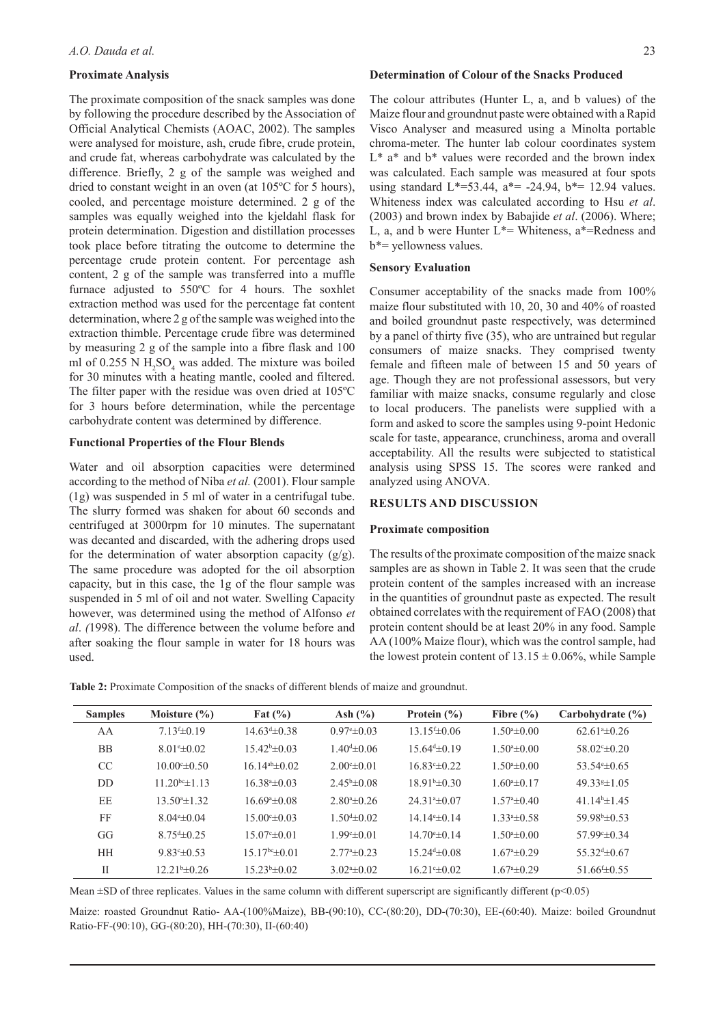### **Proximate Analysis**

The proximate composition of the snack samples was done by following the procedure described by the Association of Official Analytical Chemists (AOAC, 2002). The samples were analysed for moisture, ash, crude fibre, crude protein, and crude fat, whereas carbohydrate was calculated by the difference. Briefly, 2 g of the sample was weighed and dried to constant weight in an oven (at 105ºC for 5 hours), cooled, and percentage moisture determined. 2 g of the samples was equally weighed into the kjeldahl flask for protein determination. Digestion and distillation processes took place before titrating the outcome to determine the percentage crude protein content. For percentage ash content, 2 g of the sample was transferred into a muffle furnace adjusted to 550ºC for 4 hours. The soxhlet extraction method was used for the percentage fat content determination, where 2 g of the sample was weighed into the extraction thimble. Percentage crude fibre was determined by measuring 2 g of the sample into a fibre flask and 100 ml of 0.255 N  $H_2SO_4$  was added. The mixture was boiled for 30 minutes with a heating mantle, cooled and filtered. The filter paper with the residue was oven dried at 105ºC for 3 hours before determination, while the percentage carbohydrate content was determined by difference.

#### **Functional Properties of the Flour Blends**

Water and oil absorption capacities were determined according to the method of Niba *et al.* (2001). Flour sample (1g) was suspended in 5 ml of water in a centrifugal tube. The slurry formed was shaken for about 60 seconds and centrifuged at 3000rpm for 10 minutes. The supernatant was decanted and discarded, with the adhering drops used for the determination of water absorption capacity  $(g/g)$ . The same procedure was adopted for the oil absorption capacity, but in this case, the 1g of the flour sample was suspended in 5 ml of oil and not water. Swelling Capacity however, was determined using the method of Alfonso *et al*. *(*1998). The difference between the volume before and after soaking the flour sample in water for 18 hours was used.

#### **Determination of Colour of the Snacks Produced**

The colour attributes (Hunter L, a, and b values) of the Maize flour and groundnut paste were obtained with a Rapid Visco Analyser and measured using a Minolta portable chroma-meter. The hunter lab colour coordinates system  $L^*$  a<sup>\*</sup> and  $b^*$  values were recorded and the brown index was calculated. Each sample was measured at four spots using standard  $L^*=$  53.44,  $a^*=$  -24.94,  $b^*=$  12.94 values. Whiteness index was calculated according to Hsu *et al*. (2003) and brown index by Babajide *et al*. (2006). Where; L, a, and b were Hunter  $L^*$ = Whiteness, a<sup>\*</sup>=Redness and b\*= yellowness values.

#### **Sensory Evaluation**

Consumer acceptability of the snacks made from 100% maize flour substituted with 10, 20, 30 and 40% of roasted and boiled groundnut paste respectively, was determined by a panel of thirty five (35), who are untrained but regular consumers of maize snacks. They comprised twenty female and fifteen male of between 15 and 50 years of age. Though they are not professional assessors, but very familiar with maize snacks, consume regularly and close to local producers. The panelists were supplied with a form and asked to score the samples using 9-point Hedonic scale for taste, appearance, crunchiness, aroma and overall acceptability. All the results were subjected to statistical analysis using SPSS 15. The scores were ranked and analyzed using ANOVA.

#### **RESULTS AND DISCUSSION**

#### **Proximate composition**

The results of the proximate composition of the maize snack samples are as shown in Table 2. It was seen that the crude protein content of the samples increased with an increase in the quantities of groundnut paste as expected. The result obtained correlates with the requirement of FAO (2008) that protein content should be at least 20% in any food. Sample AA (100% Maize flour), which was the control sample, had the lowest protein content of  $13.15 \pm 0.06\%$ , while Sample

**Table 2:** Proximate Composition of the snacks of different blends of maize and groundnut.

| <b>Samples</b> | Moisture $(\% )$      | Fat $(\% )$           | Ash $(\% )$               | Protein $(\% )$   | Fibre $(\% )$               | Carbohydrate $(\% )$          |
|----------------|-----------------------|-----------------------|---------------------------|-------------------|-----------------------------|-------------------------------|
| AA             | $7.13 \pm 0.19$       | $14.63 \pm 0.38$      | $0.97^{\circ} \pm 0.03$   | $13.15 \pm 0.06$  | $1.50^{\circ}$ = 0.00       | $62.61 \pm 0.26$              |
| <b>BB</b>      | $8.01 \pm 0.02$       | $15.42\pm 0.03$       | $1.40 \pm 0.06$           | $15.64 \pm 0.19$  | $1.50^{\circ}$ = 0.00       | $58.02 \pm 0.20$              |
| <sub>CC</sub>  | $10.00 \pm 0.50$      | $16.14^{ab} \pm 0.02$ | $2.00 \pm 0.01$           | $16.83 \pm 0.22$  | $1.50^{\circ}$ = 0.00       | 53.54 $\pm$ 0.65              |
| DD             | $11.20^{bc} \pm 1.13$ | $16.384 \pm 0.03$     | $2.45^{\circ}$ ± 0.08     | $1891b\pm 030$    | $1.60^{\circ}$ $\pm$ 0.17   | 49.33 $\pm$ 1.05              |
| EE             | $13.504 \pm 1.32$     | $16.694 \pm 0.08$     | $2.80^{\circ} \pm 0.26$   | $24.31* \pm 0.07$ | $1.574 \pm 0.40$            | 41 $14^h \pm 145$             |
| FF             | $8.04 \pm 0.04$       | $15.00 \pm 0.03$      | $1.50 \pm 0.02$           | $14.14 \pm 0.14$  | $1.334 \pm 0.58$            | $59.98^{\circ}$ ±0.53         |
| GG             | $8.754 \pm 0.25$      | $15.07 \pm 0.01$      | $1.99 \pm 0.01$           | $14.70 \pm 0.14$  | $1.50^{\circ}$ = 0.00       | 57.99 $\pm 0.34$              |
| <b>HH</b>      | $9.83 \pm 0.53$       | $15.17bc\pm 0.01$     | $2.77^{\circ}$ $\pm$ 0.23 | $15.24 \pm 0.08$  | $1.674 \pm 0.29$            | 55 32 <sup>d</sup> $\pm$ 0 67 |
| $_{\rm II}$    | $12.21b \pm 0.26$     | $15.23b\pm 0.02$      | $3.024 \pm 0.02$          | $16.21 \pm 0.02$  | $1.67^{\mathrm{a}}\pm 0.29$ | 51.66 <sup>f</sup> $\pm$ 0.55 |

Mean  $\pm$ SD of three replicates. Values in the same column with different superscript are significantly different ( $p$ <0.05)

Maize: roasted Groundnut Ratio- AA-(100%Maize), BB-(90:10), CC-(80:20), DD-(70:30), EE-(60:40). Maize: boiled Groundnut Ratio-FF-(90:10), GG-(80:20), HH-(70:30), II-(60:40)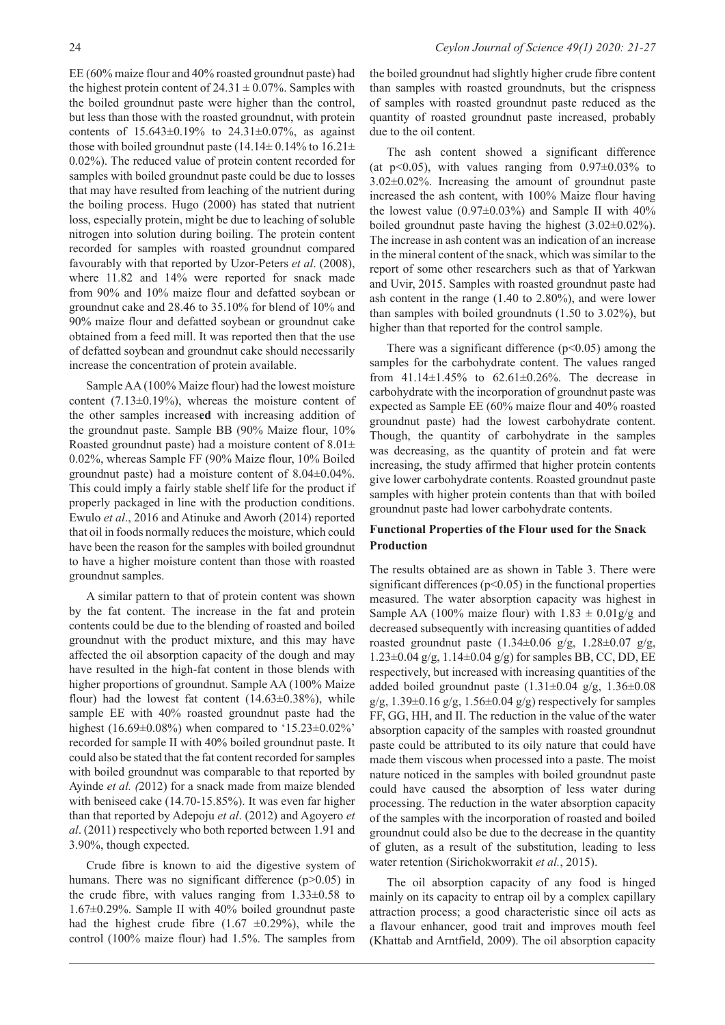EE (60% maize flour and 40% roasted groundnut paste) had the highest protein content of  $24.31 \pm 0.07\%$ . Samples with the boiled groundnut paste were higher than the control, but less than those with the roasted groundnut, with protein contents of  $15.643 \pm 0.19\%$  to  $24.31 \pm 0.07\%$ , as against those with boiled groundnut paste (14.14 $\pm$  0.14% to 16.21 $\pm$ 0.02%). The reduced value of protein content recorded for samples with boiled groundnut paste could be due to losses that may have resulted from leaching of the nutrient during the boiling process. Hugo (2000) has stated that nutrient loss, especially protein, might be due to leaching of soluble nitrogen into solution during boiling. The protein content recorded for samples with roasted groundnut compared favourably with that reported by Uzor-Peters *et al*. (2008), where 11.82 and 14% were reported for snack made from 90% and 10% maize flour and defatted soybean or groundnut cake and 28.46 to 35.10% for blend of 10% and 90% maize flour and defatted soybean or groundnut cake obtained from a feed mill. It was reported then that the use of defatted soybean and groundnut cake should necessarily increase the concentration of protein available.

Sample AA (100% Maize flour) had the lowest moisture content (7.13±0.19%), whereas the moisture content of the other samples increas**ed** with increasing addition of the groundnut paste. Sample BB (90% Maize flour, 10% Roasted groundnut paste) had a moisture content of  $8.01 \pm$ 0.02%, whereas Sample FF (90% Maize flour, 10% Boiled groundnut paste) had a moisture content of 8.04±0.04%. This could imply a fairly stable shelf life for the product if properly packaged in line with the production conditions. Ewulo *et al*., 2016 and Atinuke and Aworh (2014) reported that oil in foods normally reduces the moisture, which could have been the reason for the samples with boiled groundnut to have a higher moisture content than those with roasted groundnut samples.

A similar pattern to that of protein content was shown by the fat content. The increase in the fat and protein contents could be due to the blending of roasted and boiled groundnut with the product mixture, and this may have affected the oil absorption capacity of the dough and may have resulted in the high-fat content in those blends with higher proportions of groundnut. Sample AA (100% Maize flour) had the lowest fat content  $(14.63\pm0.38\%)$ , while sample EE with 40% roasted groundnut paste had the highest (16.69±0.08%) when compared to '15.23±0.02%' recorded for sample II with 40% boiled groundnut paste. It could also be stated that the fat content recorded for samples with boiled groundnut was comparable to that reported by Ayinde *et al. (*2012) for a snack made from maize blended with beniseed cake (14.70-15.85%). It was even far higher than that reported by Adepoju *et al*. (2012) and Agoyero *et al*. (2011) respectively who both reported between 1.91 and 3.90%, though expected.

Crude fibre is known to aid the digestive system of humans. There was no significant difference (p>0.05) in the crude fibre, with values ranging from  $1.33\pm0.58$  to 1.67±0.29%. Sample II with 40% boiled groundnut paste had the highest crude fibre  $(1.67 \pm 0.29\%)$ , while the control (100% maize flour) had 1.5%. The samples from

the boiled groundnut had slightly higher crude fibre content than samples with roasted groundnuts, but the crispness of samples with roasted groundnut paste reduced as the quantity of roasted groundnut paste increased, probably due to the oil content.

The ash content showed a significant difference (at  $p<0.05$ ), with values ranging from  $0.97\pm0.03\%$  to 3.02±0.02%. Increasing the amount of groundnut paste increased the ash content, with 100% Maize flour having the lowest value  $(0.97\pm0.03\%)$  and Sample II with  $40\%$ boiled groundnut paste having the highest  $(3.02\pm0.02\%)$ . The increase in ash content was an indication of an increase in the mineral content of the snack, which was similar to the report of some other researchers such as that of Yarkwan and Uvir, 2015. Samples with roasted groundnut paste had ash content in the range (1.40 to 2.80%), and were lower than samples with boiled groundnuts (1.50 to 3.02%), but higher than that reported for the control sample.

There was a significant difference  $(p<0.05)$  among the samples for the carbohydrate content. The values ranged from 41.14±1.45% to 62.61±0.26%. The decrease in carbohydrate with the incorporation of groundnut paste was expected as Sample EE (60% maize flour and 40% roasted groundnut paste) had the lowest carbohydrate content. Though, the quantity of carbohydrate in the samples was decreasing, as the quantity of protein and fat were increasing, the study affirmed that higher protein contents give lower carbohydrate contents. Roasted groundnut paste samples with higher protein contents than that with boiled groundnut paste had lower carbohydrate contents.

# **Functional Properties of the Flour used for the Snack Production**

The results obtained are as shown in Table 3. There were significant differences  $(p<0.05)$  in the functional properties measured. The water absorption capacity was highest in Sample AA (100% maize flour) with  $1.83 \pm 0.01$  g/g and decreased subsequently with increasing quantities of added roasted groundnut paste  $(1.34\pm0.06 \text{ g/g}, 1.28\pm0.07 \text{ g/g},$ 1.23±0.04 g/g, 1.14±0.04 g/g) for samples BB, CC, DD, EE respectively, but increased with increasing quantities of the added boiled groundnut paste  $(1.31\pm0.04 \text{ g/g}, 1.36\pm0.08 \text{ g})$  $g/g$ , 1.39 $\pm$ 0.16  $g/g$ , 1.56 $\pm$ 0.04  $g/g$ ) respectively for samples FF, GG, HH, and II. The reduction in the value of the water absorption capacity of the samples with roasted groundnut paste could be attributed to its oily nature that could have made them viscous when processed into a paste. The moist nature noticed in the samples with boiled groundnut paste could have caused the absorption of less water during processing. The reduction in the water absorption capacity of the samples with the incorporation of roasted and boiled groundnut could also be due to the decrease in the quantity of gluten, as a result of the substitution, leading to less water retention (Sirichokworrakit *et al.*, 2015).

The oil absorption capacity of any food is hinged mainly on its capacity to entrap oil by a complex capillary attraction process; a good characteristic since oil acts as a flavour enhancer, good trait and improves mouth feel (Khattab and Arntfield, 2009). The oil absorption capacity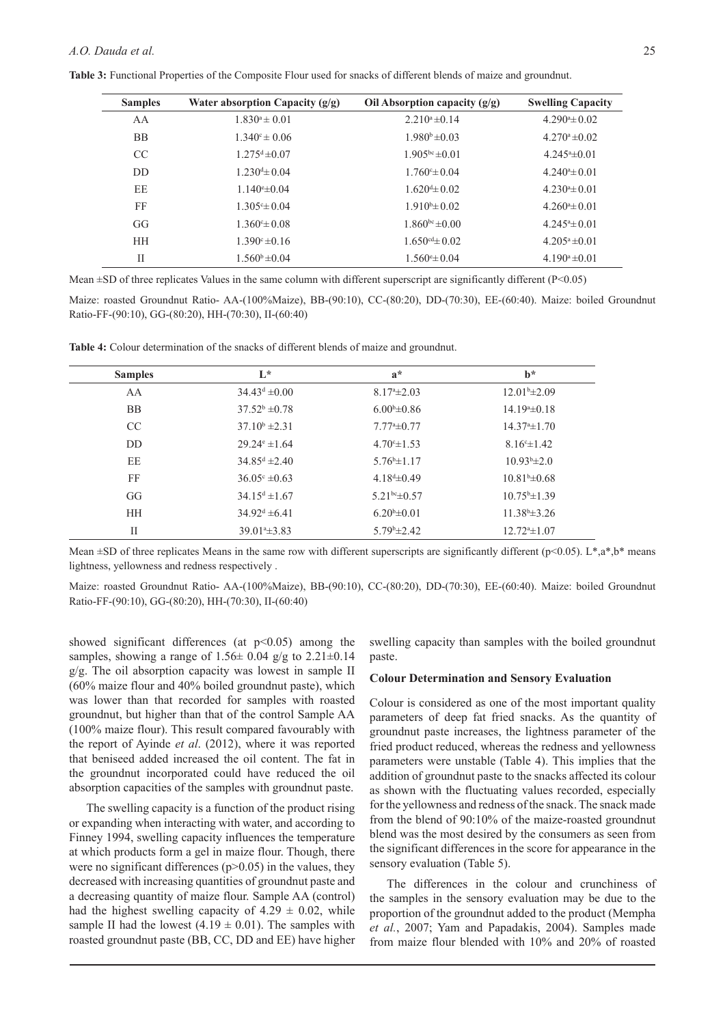**Table 3:** Functional Properties of the Composite Flour used for snacks of different blends of maize and groundnut.

| <b>Samples</b> | Water absorption Capacity $(g/g)$ | Oil Absorption capacity $(g/g)$ | <b>Swelling Capacity</b> |
|----------------|-----------------------------------|---------------------------------|--------------------------|
| AA             | $1.830^a \pm 0.01$                | $2.210^a \pm 0.14$              | $4.2904 \pm 0.02$        |
| <b>BB</b>      | $1.340^{\circ} \pm 0.06$          | $1.980b \pm 0.03$               | $4.270^{\circ}$ ±0.02    |
| CC             | $1.275^{\text{d}} \pm 0.07$       | $1.905^{bc} \pm 0.01$           | $4.245^{\circ} \pm 0.01$ |
| DD.            | $1.230 \pm 0.04$                  | $1.760 \pm 0.04$                | $4.240^{\circ} \pm 0.01$ |
| EE             | $1.140 \pm 0.04$                  | $1.620 \pm 0.02$                | $4.2304 \pm 0.01$        |
| FF             | $1.305 \pm 0.04$                  | $1.910^{b} \pm 0.02$            | $4.2604 \pm 0.01$        |
| GG             | $1.360 \pm 0.08$                  | $1.860^{bc} \pm 0.00$           | $4.245^{\circ} \pm 0.01$ |
| <b>HH</b>      | $1.390^{\circ} \pm 0.16$          | $1.650^{cd} \pm 0.02$           | $4.205^a \pm 0.01$       |
| П              | $1.560^b \pm 0.04$                | $1.560^{\circ} \pm 0.04$        | $4.190^a \pm 0.01$       |

Mean  $\pm$ SD of three replicates Values in the same column with different superscript are significantly different (P<0.05)

Maize: roasted Groundnut Ratio- AA-(100%Maize), BB-(90:10), CC-(80:20), DD-(70:30), EE-(60:40). Maize: boiled Groundnut Ratio-FF-(90:10), GG-(80:20), HH-(70:30), II-(60:40)

| <b>Samples</b> | $L^*$                       | $a^*$                       | $h^*$                    |
|----------------|-----------------------------|-----------------------------|--------------------------|
| AA             | $34.43^{\text{d}} \pm 0.00$ | $8.17^{\circ}$ $\pm 2.03$   | $12.01b\pm2.09$          |
| <b>BB</b>      | $37.52^b \pm 0.78$          | $6.00\pm0.86$               | $14.19^{\circ} \pm 0.18$ |
| CC             | $37.10^b \pm 2.31$          | $7.77^{\mathrm{a}}\pm 0.77$ | $14.374 \pm 1.70$        |
| DD             | $29.24^{\circ} \pm 1.64$    | $4.70^{\circ}$ $\pm 1.53$   | $8.16^{\circ} \pm 1.42$  |
| EE.            | $34.85^{\text{d}} \pm 2.40$ | $5.76^{\circ}$ ± 1.17       | $10.93b\pm2.0$           |
| FF             | $36.05^{\circ} \pm 0.63$    | $4.18d\pm 0.49$             | $10.81b\pm 0.68$         |
| GG             | $34.15^{\circ}$ ± 1.67      | $5.21^{bc} \pm 0.57$        | $10.75^{\circ}$ ±1.39    |
| <b>HH</b>      | $34.92^{\mathrm{d}}$ ±6.41  | $6.20^{b} \pm 0.01$         | $11.38b\pm3.26$          |
| П              | $39.014 \pm 3.83$           | $5.79^{\rm b} \pm 2.42$     | $12.724 \pm 1.07$        |

**Table 4:** Colour determination of the snacks of different blends of maize and groundnut.

Mean  $\pm$ SD of three replicates Means in the same row with different superscripts are significantly different (p<0.05). L\*,a\*,b\* means lightness, yellowness and redness respectively .

Maize: roasted Groundnut Ratio- AA-(100%Maize), BB-(90:10), CC-(80:20), DD-(70:30), EE-(60:40). Maize: boiled Groundnut Ratio-FF-(90:10), GG-(80:20), HH-(70:30), II-(60:40)

showed significant differences (at  $p<0.05$ ) among the samples, showing a range of  $1.56 \pm 0.04$  g/g to  $2.21 \pm 0.14$ g/g. The oil absorption capacity was lowest in sample II (60% maize flour and 40% boiled groundnut paste), which was lower than that recorded for samples with roasted groundnut, but higher than that of the control Sample AA (100% maize flour). This result compared favourably with the report of Ayinde *et al*. (2012), where it was reported that beniseed added increased the oil content. The fat in the groundnut incorporated could have reduced the oil absorption capacities of the samples with groundnut paste.

The swelling capacity is a function of the product rising or expanding when interacting with water, and according to Finney 1994, swelling capacity influences the temperature at which products form a gel in maize flour. Though, there were no significant differences  $(p>0.05)$  in the values, they decreased with increasing quantities of groundnut paste and a decreasing quantity of maize flour. Sample AA (control) had the highest swelling capacity of  $4.29 \pm 0.02$ , while sample II had the lowest  $(4.19 \pm 0.01)$ . The samples with roasted groundnut paste (BB, CC, DD and EE) have higher

swelling capacity than samples with the boiled groundnut paste.

#### **Colour Determination and Sensory Evaluation**

Colour is considered as one of the most important quality parameters of deep fat fried snacks. As the quantity of groundnut paste increases, the lightness parameter of the fried product reduced, whereas the redness and yellowness parameters were unstable (Table 4). This implies that the addition of groundnut paste to the snacks affected its colour as shown with the fluctuating values recorded, especially for the yellowness and redness of the snack. The snack made from the blend of 90:10% of the maize-roasted groundnut blend was the most desired by the consumers as seen from the significant differences in the score for appearance in the sensory evaluation (Table 5).

The differences in the colour and crunchiness of the samples in the sensory evaluation may be due to the proportion of the groundnut added to the product (Mempha *et al.*, 2007; Yam and Papadakis, 2004). Samples made from maize flour blended with 10% and 20% of roasted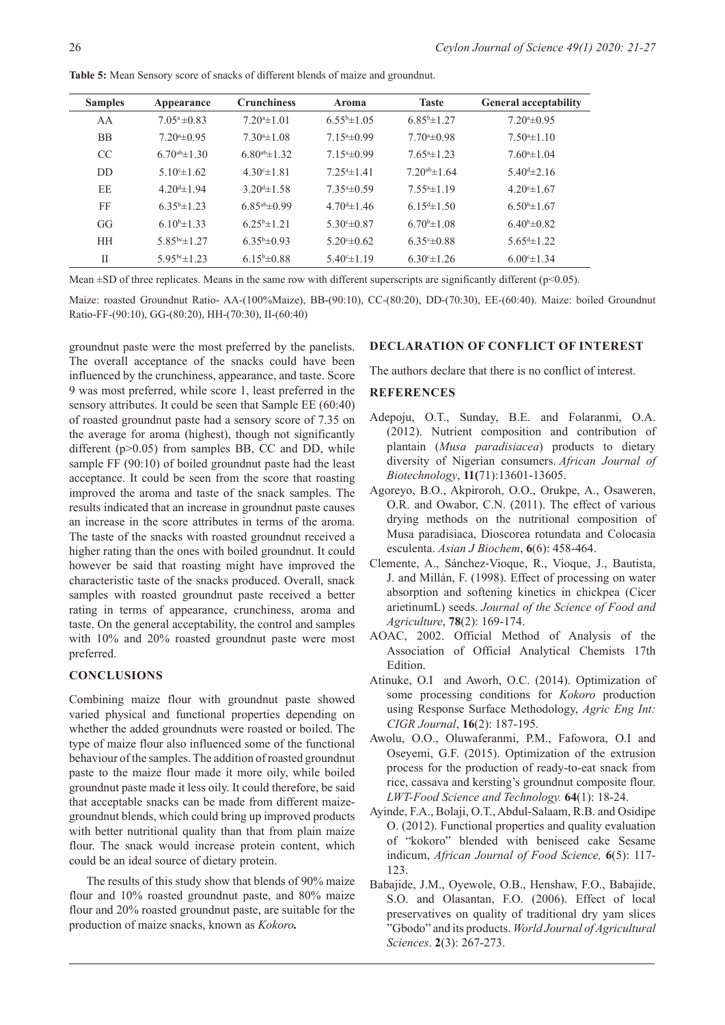**Table 5:** Mean Sensory score of snacks of different blends of maize and groundnut.

| <b>Samples</b> | Appearance                    | <b>Crunchiness</b>        | Aroma                 | <b>Taste</b>              | <b>General acceptability</b> |
|----------------|-------------------------------|---------------------------|-----------------------|---------------------------|------------------------------|
| AA             | $7.05^a \pm 0.83$             | $7.204 \pm 1.01$          | $6.55^{b}$ $\pm 1.05$ | $6.85^{\circ}$ ± 1.27     | $7.20^{\circ}$ ± 0.95        |
| <b>BB</b>      | $7.20^{\circ}$ ± 0.95         | $7.30^{\circ}$ $\pm 1.08$ | $7.154 \pm 0.99$      | $7.704 \pm 0.98$          | $7.50^{\circ}$ $\pm 1.10$    |
| <sub>CC</sub>  | 6.70 <sup>ab</sup> $\pm$ 1.30 | 6.80 $a$ b $\pm$ 1.32     | $7.154 \pm 0.99$      | $7.654 \pm 1.23$          | $7.60^{\circ}$ ± 1.04        |
| DD             | 5 10 <sup>c</sup> $\pm$ 1 62  | $4.30 \pm 1.81$           | $7.254 \pm 1.41$      | $7.20^{ab} \pm 1.64$      | $5.40 \pm 2.16$              |
| EE             | $4.204 \pm 1.94$              | $3.204 \pm 1.58$          | $7.354 \pm 0.59$      | $7.554 \pm 1.19$          | $4.20^{\circ}$ ± 1.67        |
| FF             | $6.35^{\circ}$ ±1.23          | $6.85^{ab} \pm 0.99$      | $4.70^{d} \pm 1.46$   | $6.154 \pm 1.50$          | $6.50^{\circ}$ ± 1.67        |
| GG             | $6.10^{b} \pm 1.33$           | $6.25^{b} \pm 1.21$       | $5.30 \pm 0.87$       | $6.70^{\circ}$ $\pm 1.08$ | $6.40\pm0.82$                |
| <b>HH</b>      | 5.85 <sup>bc</sup> $\pm$ 1.27 | $6.35^b \pm 0.93$         | $5.20 \pm 0.62$       | $6.35 \pm 0.88$           | $5.654 \pm 1.22$             |
| $\mathbf{I}$   | $5.95bc\pm 1.23$              | $6.15^{\rm b} \pm 0.88$   | $5.40^{\circ}$ ± 1.19 | $6.30^{\circ}$ ± 1.26     | $6.00 \pm 1.34$              |

Mean  $\pm$ SD of three replicates. Means in the same row with different superscripts are significantly different (p<0.05).

Maize: roasted Groundnut Ratio- AA-(100%Maize), BB-(90:10), CC-(80:20), DD-(70:30), EE-(60:40). Maize: boiled Groundnut Ratio-FF-(90:10), GG-(80:20), HH-(70:30), II-(60:40)

groundnut paste were the most preferred by the panelists. The overall acceptance of the snacks could have been influenced by the crunchiness, appearance, and taste. Score 9 was most preferred, while score 1, least preferred in the sensory attributes. It could be seen that Sample EE (60:40) of roasted groundnut paste had a sensory score of 7.35 on the average for aroma (highest), though not significantly different  $(p>0.05)$  from samples BB, CC and DD, while sample FF (90:10) of boiled groundnut paste had the least acceptance. It could be seen from the score that roasting improved the aroma and taste of the snack samples. The results indicated that an increase in groundnut paste causes an increase in the score attributes in terms of the aroma. The taste of the snacks with roasted groundnut received a higher rating than the ones with boiled groundnut. It could however be said that roasting might have improved the characteristic taste of the snacks produced. Overall, snack samples with roasted groundnut paste received a better rating in terms of appearance, crunchiness, aroma and taste. On the general acceptability, the control and samples with 10% and 20% roasted groundnut paste were most preferred.

## **CONCLUSIONS**

Combining maize flour with groundnut paste showed varied physical and functional properties depending on whether the added groundnuts were roasted or boiled. The type of maize flour also influenced some of the functional behaviour of the samples. The addition of roasted groundnut paste to the maize flour made it more oily, while boiled groundnut paste made it less oily. It could therefore, be said that acceptable snacks can be made from different maizegroundnut blends, which could bring up improved products with better nutritional quality than that from plain maize flour. The snack would increase protein content, which could be an ideal source of dietary protein.

The results of this study show that blends of 90% maize flour and 10% roasted groundnut paste, and 80% maize flour and 20% roasted groundnut paste, are suitable for the production of maize snacks, known as *Kokoro.*

# **DECLARATION OF CONFLICT OF INTEREST**

The authors declare that there is no conflict of interest.

## **REFERENCES**

- Adepoju, O.T., Sunday, B.E. and Folaranmi, O.A. (2012). Nutrient composition and contribution of plantain (*Musa paradisiacea*) products to dietary diversity of Nigerian consumers. *African Journal of Biotechnology*, **11(**71):13601-13605.
- Agoreyo, B.O., Akpiroroh, O.O., Orukpe, A., Osaweren, O.R. and Owabor, C.N. (2011). The effect of various drying methods on the nutritional composition of Musa paradisiaca, Dioscorea rotundata and Colocasia esculenta. *Asian J Biochem*, **6**(6): 458-464.
- Clemente, A., Sánchez‐Vioque, R., Vioque, J., Bautista, J. and Millán, F. (1998). Effect of processing on water absorption and softening kinetics in chickpea (Cicer arietinumL) seeds. *Journal of the Science of Food and Agriculture*, **78**(2): 169-174.
- AOAC, 2002. Official Method of Analysis of the Association of Official Analytical Chemists 17th Edition.
- Atinuke, O.I and Aworh, O.C. (2014). Optimization of some processing conditions for *Kokoro* production using Response Surface Methodology, *Agric Eng Int: CIGR Journal*, **16**(2): 187-195.
- Awolu, O.O., Oluwaferanmi, P.M., Fafowora, O.I and Oseyemi, G.F. (2015). Optimization of the extrusion process for the production of ready-to-eat snack from rice, cassava and kersting's groundnut composite flour. *LWT-Food Science and Technology.* **64**(1): 18-24.
- Ayinde, F.A., Bolaji, O.T., Abdul-Salaam, R.B. and Osidipe O. (2012). Functional properties and quality evaluation of "kokoro" blended with beniseed cake Sesame indicum, *African Journal of Food Science,* **6**(5): 117- 123.
- Babajide, J.M., Oyewole, O.B., Henshaw, F.O., Babajide, S.O. and Olasantan, F.O. (2006). Effect of local preservatives on quality of traditional dry yam slices "Gbodo" and its products. *World Journal of Agricultural Sciences*. **2**(3): 267-273.